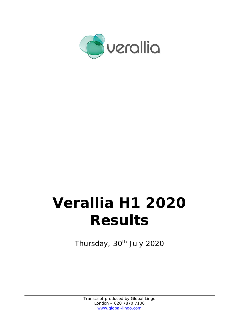

# **Verallia H1 2020 Results**

Thursday, 30<sup>th</sup> July 2020

Transcript produced by Global Lingo London – 020 7870 7100 www.global-lingo.com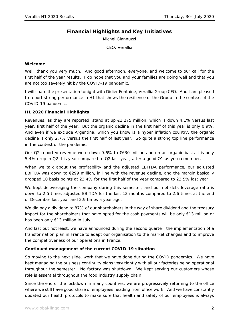# **Financial Highlights and Key Initiatives**

Michel Giannuzzi

CEO, Verallia

#### **Welcome**

Well, thank you very much. And good afternoon, everyone, and welcome to our call for the first half of the year results. I do hope that you and your families are doing well and that you are not too severely hit by the COVID-19 pandemic.

I will share the presentation tonight with Didier Fontaine, Verallia Group CFO. And I am pleased to report strong performance in H1 that shows the resilience of the Group in the context of the COVID-19 pandemic.

# **H1 2020 Financial Highlights**

Revenues, as they are reported, stand at up  $\epsilon$ 1,275 million, which is down 4.1% versus last year, first half of the year. But the organic decline in the first half of this year is only 0.9%. And even if we exclude Argentina, which you know is a hyper inflation country, the organic decline is only 2.7% versus the first half of last year. So quite a strong top line performance in the context of the pandemic.

Our Q2 reported revenue were down 9.6% to €630 million and on an organic basis it is only 5.4% drop in Q2 this year compared to Q2 last year, after a good Q1 as you remember.

When we talk about the profitability and the adjusted EBITDA performance, our adjusted EBITDA was down to  $\epsilon$ 299 million, in line with the revenue decline, and the margin basically dropped 10 basis points at 23.4% for the first half of the year compared to 23.5% last year.

We kept deleveraging the company during this semester, and our net debt leverage ratio is down to 2.5 times adjusted EBITDA for the last 12 months compared to 2.6 times at the end of December last year and 2.9 times a year ago.

We did pay a dividend to 87% of our shareholders in the way of share dividend and the treasury impact for the shareholders that have opted for the cash payments will be only €13 million or has been only €13 million in July.

And last but not least, we have announced during the second quarter, the implementation of a transformation plan in France to adapt our organisation to the market changes and to improve the competitiveness of our operations in France.

# **Continued management of the current COVID-19 situation**

So moving to the next slide, work that we have done during the COVID pandemics. We have kept managing the business continuity plans very tightly with all our factories being operational throughout the semester. No factory was shutdown. We kept serving our customers whose role is essential throughout the food industry supply chain.

Since the end of the lockdown in many countries, we are progressively returning to the office where we still have good share of employees heading from office work. And we have constantly updated our health protocols to make sure that health and safety of our employees is always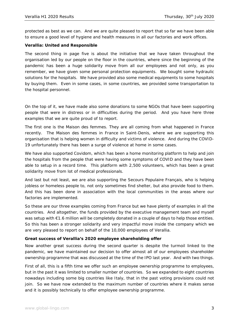protected as best as we can. And we are quite pleased to report that so far we have been able to ensure a good level of hygiene and health measures in all our factories and work offices.

## **Verallia: United and Responsible**

The second thing in page five is about the initiative that we have taken throughout the organisation led by our people on the floor in the countries, where since the beginning of the pandemic has been a huge solidarity move from all our employees and not only, as you remember, we have given some personal protection equipments. We bought some hydraulic solutions for the hospitals. We have provided also some medical equipments to some hospitals by buying them. Even in some cases, in some countries, we provided some transportation to the hospital personnel.

On the top of it, we have made also some donations to some NGOs that have been supporting people that were in distress or in difficulties during the period. And you have here three examples that we are quite proud of to report.

The first one is the Maison des femmes. They are all coming from what happened in France recently. The Maison des femmes in France in Saint-Denis, where we are supporting this organisation that is helping women in difficulty and victims of violence. And during the COVID-19 unfortunately there has been a surge of violence at home in some cases.

We have also supported Covidom, which has been a home monitoring platform to help and join the hospitals from the people that were having some symptoms of COVID and they have been able to setup in a record time. This platform with 2,500 volunteers, which has been a great solidarity move from lot of medical professionals.

And last but not least, we are also supporting the Secours Populaire Français, who is helping jobless or homeless people to, not only sometimes find shelter, but also provide food to them. And this has been done in association with the local communities in the areas where our factories are implemented.

So these are our three examples coming from France but we have plenty of examples in all the countries. And altogether, the funds provided by the executive management team and myself was setup with €1.6 million will be completely donated in a couple of days to help those entities. So this has been a stronger solidarity and very impactful move inside the company which we are very pleased to report on behalf of the 10,000 employees of Verallia.

#### **Great success of Verallia's 2020 employee shareholding offer**

Now another great success during the second quarter is despite the turmoil linked to the pandemic, we have maintained our decision to offer almost all of our employees shareholder ownership programme that was discussed at the time of the IPO last year. And with two things.

First of all, this is a fifth time we offer such an employee ownership programme to employees, but in the past it was limited to smaller number of countries. So we expanded to eight countries nowadays including some big countries like Italy, that in the past voting provisions could not join. So we have now extended to the maximum number of countries where it makes sense and it is possibly technically to offer employee ownership programme.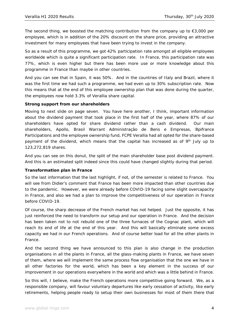The second thing, we boosted the matching contribution from the company up to  $\epsilon$ 3,000 per employee, which is in addition of the 20% discount on the share price, providing an attractive investment for many employees that have been trying to invest in the company.

So as a result of this programme, we got 42% participation rate amongst all eligible employees worldwide which is quite a significant participation rate. In France, this participation rate was 77%, which is even higher but there has been more use or more knowledge about this programme in France than maybe in other countries.

And you can see that in Spain, it was 50%. And in the countries of Italy and Brazil, where it was the first time we had such a programme, we had even up to 30% subscription rate. Now this means that at the end of this employee ownership plan that was done during the quarter, the employees now hold 3.3% of Verallia share capital.

#### **Strong support from our shareholders**

Moving to next slide on page seven. You have here another, I think, important information about the dividend payment that took place in the first half of the year, where 87% of our shareholders have opted for share dividend rather than a cash dividend. Our main shareholders, Apollo, Brasil Warrant Administração de Bens e Empresas, Bpifrance Participations and the employee ownership fund, FCPE Verallia had all opted for the share-based payment of the dividend, which means that the capital has increased as of 9<sup>th</sup> July up to 123,272,819 shares.

And you can see on this donut, the split of the main shareholder base post dividend payment. And this is an estimated split indeed since this could have changed slightly during that period.

# **Transformation plan in France**

So the last information that the last highlight, if not, of the semester is related to France. You will see from Didier's comment that France has been more impacted than other countries due to the pandemic. However, we were already before COVID-19 facing some slight overcapacity in France, and also we had a plan to improve the competitiveness of our operation in France before COVID-19.

Of course, the sharp decrease of the French market has not helped. Just the opposite, it has just reinforced the need to transform our setup and our operation in France. And the decision has been taken not to not rebuild one of the three furnaces of the Cognac plant, which will reach its end of life at the end of this year. And this will basically eliminate some excess capacity we had in our French operations. And of course better load for all the other plants in France.

And the second thing we have announced to this plan is also change in the production organisations in all the plants in France, all the glass-making plants in France, we have seven of them, where we will implement the same process flow organisation that the one we have in all other factories for the world, which has been a key element in the success of our improvement in our operations everywhere in the world and which was a little behind in France.

So this will, I believe, make the French operations more competitive going forward. We, as a responsible company, will favour voluntary departures like early cessation of activity, like early retirements, helping people ready to setup their own businesses for most of them there that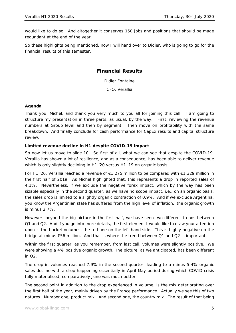would like to do so. And altogether it conserves 150 jobs and positions that should be made redundant at the end of the year.

So these highlights being mentioned, now I will hand over to Didier, who is going to go for the financial results of this semester.

# **Financial Results**

Didier Fontaine CFO, Verallia

# **Agenda**

Thank you, Michel, and thank you very much to you all for joining this call. I am going to structure my presentation in three parts, as usual, by the way. First, reviewing the revenue numbers at Group level and then by segment. Then move on profitability with the same breakdown. And finally conclude for cash performance for CapEx results and capital structure review.

#### **Limited revenue decline in H1 despite COVID-19 impact**

So now let us move to slide 10. So first of all, what we can see that despite the COVID-19, Verallia has shown a lot of resilience, and as a consequence, has been able to deliver revenue which is only slightly declining in H1 '20 versus H1 '19 on organic basis.

For H1 '20, Verallia reached a revenue of €1,275 million to be compared with €1,329 million in the first half of 2019. As Michel highlighted that, this represents a drop in reported sales of 4.1%. Nevertheless, if we exclude the negative forex impact, which by the way has been sizable especially in the second quarter, as we have no scope impact, i.e., on an organic basis, the sales drop is limited to a slightly organic contraction of 0.9%. And if we exclude Argentina, you know the Argentinian state has suffered from the high level of inflation, the organic growth is minus 2.7%.

However, beyond the big picture in the first half, we have seen two different trends between Q1 and Q2. And if you go into more details, the first element I would like to draw your attention upon is the bucket volumes, the red one on the left-hand side. This is highly negative on the bridge at minus €56 million. And that is where the trend between Q1 and Q2 is important.

Within the first quarter, as you remember, from last call, volumes were slightly positive. We were showing a 4% positive organic growth. The picture, as we anticipated, has been different in Q2.

The drop in volumes reached 7.9% in the second quarter, leading to a minus 5.4% organic sales decline with a drop happening essentially in April-May period during which COVID crisis fully materialised, comparatively June was much better.

The second point in addition to the drop experienced in volume, is the mix deteriorating over the first half of the year, mainly driven by the France performance. Actually we see this of two natures. Number one, product mix. And second one, the country mix. The result of that being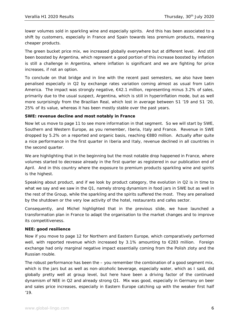lower volumes sold in sparkling wine and especially spirits. And this has been associated to a shift by customers, especially in France and Spain towards less premium products, meaning cheaper products.

The green bucket price mix, we increased globally everywhere but at different level. And still been boosted by Argentina, which represent a good portion of this increase boosted by inflation is still a challenge in Argentina, where inflation is significant and we are fighting for price increases, if not an option.

To conclude on that bridge and in line with the recent past semesters, we also have been penalised especially in Q2 by exchange rates variation coming almost as usual from Latin America. The impact was strongly negative, €42.1 million, representing minus 3.2% of sales, primarily due to the usual suspect, Argentina, which is still in hyperinflation mode, but as well more surprisingly from the Brazilian Real, which lost in average between S1 '19 and S1 '20, 25% of its value, whereas it has been mostly stable over the past years.

# **SWE: revenue decline and most notably in France**

Now let us move to page 11 to see more information in that segment. So we will start by SWE, Southern and Western Europe, as you remember, Iberia, Italy and France. Revenue in SWE dropped by 5.2% on a reported and organic basis, reaching €880 million. Actually after quite a nice performance in the first quarter in Iberia and Italy, revenue declined in all countries in the second quarter.

We are highlighting that in the beginning but the most notable drop happened in France, where volumes started to decrease already in the first quarter as registered in our publication end of April. And in this country where the exposure to premium products sparkling wine and spirits is the highest.

Speaking about product, and if we look by product category, the evolution in Q2 is in time to what we say and we saw in the Q1, namely strong dynamism in food jars in SWE but as well in the rest of the Group, while the sparkling and the spirits suffered the most. They are penalised by the shutdown or the very low activity of the hotel, restaurants and cafes sector.

Consequently, and Michel highlighted that in the previous slide, we have launched a transformation plan in France to adapt the organisation to the market changes and to improve its competitiveness.

#### **NEE: good resilience**

Now if you move to page 12 for Northern and Eastern Europe, which comparatively performed well, with reported revenue which increased by 3.1% amounting to €283 million. Foreign exchange had only marginal negative impact essentially coming from the Polish zloty and the Russian rouble.

The robust performance has been the – you remember the combination of a good segment mix, which is the jars but as well as non-alcoholic beverage, especially water, which as I said, did globally pretty well at group level, but here have been a driving factor of the continued dynamism of NEE in Q2 and already strong Q1. Mix was good, especially in Germany on beer and sales price increases, especially in Eastern Europe catching up with the weaker first half '19.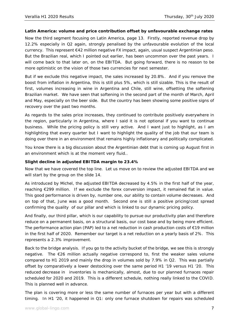#### **Latin America: volume and price contribution offset by unfavourable exchange rates**

Now the third segment focusing on Latin America, page 13. Firstly, reported revenue drop by 12.2% especially in Q2 again, strongly penalised by the unfavourable evolution of the local currency. This represent €42 million negative FX impact, again, usual suspect Argentinian peso. But the Brazilian real, which I pointed out earlier, has been uncommon over the past years. I will come back to that later on, on the EBITDA. But going forward, there is no reason to be more optimistic on the vision of those two currencies for next semester.

But if we exclude this negative impact, the sales increased by 20.8%. And if you remove the boost from inflation in Argentina, this is still plus 5%, which is still sizable. This is the result of first, volumes increasing in wine in Argentina and Chile, still wine, offsetting the softening Brazilian market. We have seen that softening in the second part of the month of March, April and May, especially on the beer side. But the country has been showing some positive signs of recovery over the past two months.

As regards to the sales price increases, they continued to contribute positively everywhere in the region, particularly in Argentina, where I said it is not optional if you want to continue business. While the pricing policy is still very active. And I want just to highlight, as I am highlighting that every quarter but I want to highlight the quality of the job that our team is doing over there in an environment that remains highly inflationary and politically complicated.

You know there is a big discussion about the Argentinian debt that is coming up August first in an environment which is at the moment very fluid..

#### **Slight decline in adjusted EBITDA margin to 23.4%**

Now that we have covered the top line. Let us move on to review the adjusted EBITDA and we will start by the group on the slide 14.

As introduced by Michel, the adjusted EBITDA decreased by 4.5% in the first half of the year, reaching €299 million. If we exclude the forex conversion impact, it remained flat in value. This good performance is driven by, number one, our ability to contain volume decreases. And on top of that, June was a good month. Second one is still a positive pricing/cost spread confirming the quality of our pillar and which is linked to our dynamic pricing policy.

And finally, our third pillar, which is our capability to pursue our productivity plan and therefore reduce on a permanent basis, on a structural basis, our cost base and by being more efficient. The performance action plan (PAP) led to a net reduction in cash production costs of  $E$ 19 million in the first half of 2020. Remember our target is a net reduction on a yearly basis of 2%. This represents a 2.3% improvement.

Back to the bridge analysis. If you go to the activity bucket of the bridge, we see this is strongly negative. The €26 million actually negative correspond to, first the weaker sales volume compared to H1 2019 and mainly the drop in volumes sold by 7.9% in Q2. This was partially offset by comparatively a lower destocking over the same period H1 '19 versus H1 '20. This reduced decrease in inventories is mechanically, almost, due to our planned furnaces repair scheduled for 2020 and 2019. This is a different schedule, nothing really linked to the COVID. This is planned well in advance.

The plan is covering more or less the same number of furnaces per year but with a different timing. In H1 '20, it happened in Q1: only one furnace shutdown for repairs was scheduled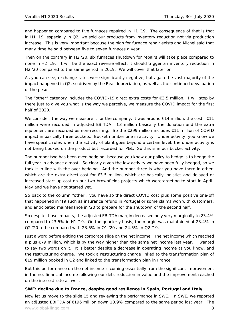and happened compared to five furnaces repaired in H1 '19. The consequence of that is that in H1 '19, especially in Q2, we sold our products from inventory reduction not via production increase. This is very important because the plan for furnace repair exists and Michel said that many time he said between five to seven furnaces a year.

Then on the contrary in H2 '20, six furnaces shutdown for repairs will take place compared to none in H2 '19. It will be the exact reverse effect, it should trigger an inventory reduction in H2 '20 compared to the same period in 2019. We will cover that later on.

As you can see, exchange rates were significantly negative, but again the vast majority of the impact happened in Q2, so driven by the Real depreciation, as well as the continued devaluation of the peso.

The "other" category includes the COVID-19 direct extra costs for  $\epsilon$ 3.5 million. I will stop by there just to give you what is the way we perceive, we measure the COVID impact for the first half of 2020.

We consider, the way we measure it for the company, it was around  $€14$  million, the cost.  $€11$ million were recorded in adjusted EBITDA. €3 million basically the donation and the extra equipment are recorded as non-recurring. So the €299 million includes €11 million of COVID impact in basically three buckets. Bucket number one in activity. Under activity, you know we have specific rules when the activity of plant goes beyond a certain level, the under activity is not being booked on the product but recorded for P&L. So this is in our bucket activity.

The number two has been over-hedging, because you know our policy to hedge is to hedge the full year in advance almost. So clearly given the low activity we have been fully hedged, so we took it in line with the over hedging. And the number three is what you have there in other, which are the extra direct cost for €3.5 million, which are basically logistics and delayed or increased start up cost on our two brownfields projects which weretargeting to start in April-May and we have not started yet.

So back to the column "other", you have so the direct COVID cost plus some positive one-off that happened in '19 such as insurance refund in Portugal or some claims won with customers, and anticipated maintenance in '20 to prepare for the shutdown of the second half.

So despite those impacts, the adjusted EBITDA margin decreased only very marginally to 23.4% compared to 23.5% in H1 '19. On the quarterly basis, the margin was maintained at 23.4% in Q2 '20 to be compared with 23.5% in Q1 '20 and 24.5% in Q2 '19.

Just a word before exiting the corporate slide on the net income. The net income which reached a plus €79 million, which is by the way higher than the same net income last year. I wanted to say two words on it. It is better despite a decrease in operating income as you know, and the restructuring charge. We took a restructuring charge linked to the transformation plan of €19 million booked in Q2 and linked to the transformation plan in France.

But this performance on the net income is coming essentially from the significant improvement in the net financial income following our debt reduction in value and the improvement reached on the interest rate as well.

# **SWE: decline due to France, despite good resilience in Spain, Portugal and Italy**

www.global-lingo.com **8** Now let us move to the slide 15 and reviewing the performance in SWE. In SWE, we reported an adjusted EBITDA of €196 million down 10.9% compared to the same period last year. The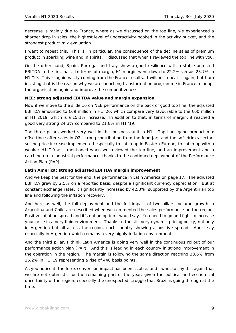decrease is mainly due to France, where as we discussed on the top line, we experienced a sharper drop in sales, the highest level of underactivity booked in the activity bucket, and the strongest product mix evaluation.

I want to repeat this. This is, in particular, the consequence of the decline sales of premium product in sparkling wine and in spirits. I discussed that when I reviewed the top line with you.

On the other hand, Spain, Portugal and Italy show a good resilience with a stable adjusted EBITDA in the first half. In terms of margin, H1 margin went down to 22.2% versus 23.7% in H1 '19. This is again vastly coming from the France results. I will not repeat it again, but I am insisting that is the reason why we are launching transformation programme in France to adapt the organisation again and improve the competitiveness.

# **NEE: strong adjusted EBITDA value and margin expansion**

Now if we move to the slide 16 on NEE performance on the back of good top line, the adjusted EBITDA amounted to €69 million in H1 '20, which compare very favourable to the €60 million in H1 2019, which is a 15.1% increase. In addition to that, in terms of margin, it reached a good very strong 24.3% compared to 21.8% in H1 '19.

The three pillars worked very well in this business unit in H1. Top line, good product mix offsetting softer sales in Q2, strong contribution from the food jars and the soft drinks sector, selling price increase implemented especially to catch up in Eastern Europe, to catch up with a weaker H1 '19 as I mentioned when we reviewed the top line, and an improvement and a catching up in industrial performance, thanks to the continued deployment of the Performance Action Plan (PAP).

# **Latin America: strong adjusted EBITDA margin improvement**

And we keep the best for the end, the performance in Latin America on page 17. The adjusted EBITDA grew by 2.5% on a reported basis, despite a significant currency depreciation. But at constant exchange rates, it significantly increased by 42.3%, supported by the Argentinian top line and following the inflation recovery.

And here as well, the full deployment and the full impact of two pillars, volume growth in Argentina and Chile are described when we commented the sales performance on the region. Positive inflation spread and it's not an option I would say. You need to go and fight to increase your price in a very fluid environment. Thanks to the still very dynamic pricing policy, not only in Argentina but all across the region, each country showing a positive spread. And I say especially in Argentina which remains a very highly inflation environment.

And the third pillar, I think Latin America is doing very well in the continuous rollout of our performance action plan (PAP). And this is leading in each country in strong improvement in the operation in the region. The margin is following the same direction reaching 30.6% from 26.2% in H1 '19 representing a rise of 440 basis points.

As you notice it, the forex conversion impact has been sizable, and I want to say this again that we are not optimistic for the remaining part of the year, given the political and economical uncertainty of the region, especially the unexpected struggle that Brazil is going through at the time.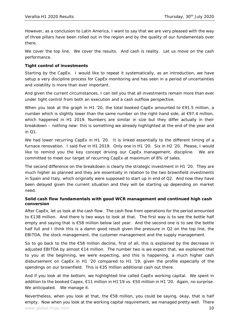However, as a conclusion to Latin America, I want to say that we are very pleased with the way of three pillars have been rolled out in the region and by the quality of our fundamentals over there.

We cover the top line. We cover the results. And cash is reality. Let us move on the cash performance.

## **Tight control of investments**

Starting by the CapEx. I would like to repeat it systematically, as an introduction, we have setup a very discipline process for CapEx monitoring and has seen in a period of uncertainties and volatility is more than ever important.

And given the current circumstances, I can tell you that all investments remain more than ever under tight control from both an execution and a cash outflow perspective.

When you look at the graph in H1 '20, the total booked CapEx amounted to  $\epsilon$ 91.5 million, a number which is slightly lower than the same number on the right-hand side, at €97.4 million, which happened in H1 2019. Numbers are similar in size but they differ actually in their breakdown – nothing new: this is something we already highlighted at the end of the year and in Q1.

We had lower recurring CapEx in H1 '20. It is linked essentially to the different timing of a furnace renovation. I said five in H1 2019. Only one in H1 '20. Six in H2 '20. Please, I would like to remind you the key concept driving our CapEx management, discipline. We are committed to meet our target of recurring CapEx at maximum of 8% of sales.

The second difference on the breakdown is clearly the strategic investment in H1 '20. They are much higher as planned and they are essentially in relation to the two brownfield investments in Spain and Italy, which originally were supposed to start up in end of Q2. And now they have been delayed given the current situation and they will be starting up depending on market need.

#### **Solid cash flow fundamentals with good WCR management and continued high cash conversion**

After CapEx, let us look at the cash flow. The cash flow from operations for the period amounted to €138 million. And there is two ways to look at that. The first way is to see the bottle half empty and saying that is €58 million below last year. And the second one is to see the bottle half full and I think this is a damn good result given the pressure in Q2 on the top line, the EBITDA, the stock management, the customer management and the supply management.

So to go back to the the €58 million decline, first of all, this is explained by the decrease in adjusted EBITDA by almost  $\epsilon$ 14 million. The number two is we expect that, we explained that to you at the beginning, we were expecting, and this is happening, a much higher cash disbursement on CapEx in H1 '20 compared to H1 '19, given the profile especially of the spendings on our brownfield. This is €35 million additional cash out there.

And if you look at the bottom, we highlighted line called CapEx working capital. We spent in addition to the booked Capex, €11 million in H1'19 vs. €50 million in H1 '20. Again, no surprise. We anticipated. We manage it.

www.global-lingo.com **10** Nevertheless, when you look at that, the €58 million, you could be saying, okay, that is half empty. Now when you look at the working capital requirement, we managed pretty well. There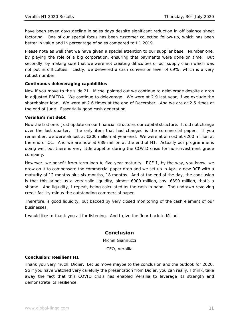have been seven days decline in sales days despite significant reduction in off balance sheet factoring. One of our special focus has been customer collection follow-up, which has been better in value and in percentage of sales compared to H1 2019.

Please note as well that we have given a special attention to our supplier base. Number one, by playing the role of a big corporation, ensuring that payments were done on time. But secondly, by making sure that we were not creating difficulties or our supply chain which was not put in difficulties. Lastly, we delivered a cash conversion level of 69%, which is a very robust number.

#### **Continuous deleveraging capabilities**

Now if you move to the slide 21. Michel pointed out we continue to deleverage despite a drop in adjusted EBITDA. We continue to deleverage. We were at 2.9 last year, if we exclude the shareholder loan. We were at 2.6 times at the end of December. And we are at 2.5 times at the end of June. Essentially good cash generation.

#### **Verallia's net debt**

Now the last one. Just update on our financial structure, our capital structure. It did not change over the last quarter. The only item that had changed is the commercial paper. If you remember, we were almost at €200 million at year-end. We were at almost at €200 million at the end of Q1. And we are now at  $\epsilon$ 39 million at the end of H1. Actually our programme is doing well but there is very little appetite during the COVID crisis for non-investment grade company.

However, we benefit from term loan A, five-year maturity. RCF 1, by the way, you know, we drew on it to compensate the commercial paper drop and we set up in April a new RCF with a maturity of 12 months plus six months, 18 months. And at the end of the day, the conclusion is that this brings us a very solid liquidity, almost €900 million, shy, €899 million, that's a shame! And liquidity, I repeat, being calculated as the cash in hand. The undrawn revolving credit facility minus the outstanding commercial paper.

Therefore, a good liquidity, but backed by very closed monitoring of the cash element of our businesses.

I would like to thank you all for listening. And I give the floor back to Michel.

# **Conclusion**

Michel Giannuzzi

CEO, Verallia

#### **Conclusion: Resilient H1**

Thank you very much, Didier. Let us move maybe to the conclusion and the outlook for 2020. So if you have watched very carefully the presentation from Didier, you can really, I think, take away the fact that this COVID crisis has enabled Verallia to leverage its strength and demonstrate its resilience.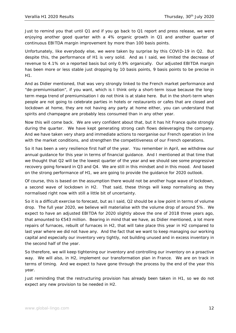Just to remind you that until Q1 and if you go back to Q1 report and press release, we were enjoying another good quarter with a 4% organic growth in Q1 and another quarter of continuous EBITDA margin improvement by more than 100 basis points.

Unfortunately, like everybody else, we were taken by surprise by this COVID-19 in Q2. But despite this, the performance of H1 is very solid. And as I said, we limited the decrease of revenue to 4.1% on a reported basis but only 0.9% organically. Our adjusted EBITDA margin has been more or less stable just dropping by 10 basis points, 9 basis points to be precise in H1.

And as Didier mentioned, that was very strongly linked to the French market performance and "de-premiumisation", if you want, which is I think only a short-term issue because the longterm mega trend of premiumisation I do not think is at stake here. But in the short-term when people are not going to celebrate parties in hotels or restaurants or cafes that are closed and lockdown at home, they are not having any party at home either, you can understand that spirits and champagne are probably less consumed than in any other year.

Now this will come back. We are very confident about that, but it has hit France quite strongly during the quarter. We have kept generating strong cash flows deleveraging the company. And we have taken very sharp and immediate actions to reorganise our French operation in line with the market conditions, and strengthen the competitiveness of our French operations.

So it has been a very resilience first half of the year. You remember in April, we withdrew our annual guidance for this year in terms of financial guidance. And I mentioned at that time that we thought that Q2 will be the lowest quarter of the year and we should see some progressive recovery going forward in Q3 and Q4. We are still in this mindset and in this mood. And based on the strong performance of H1, we are going to provide the guidance for 2020 outlook.

Of course, this is based on the assumption there would not be another huge wave of lockdown, a second wave of lockdown in H2. That said, these things will keep normalising as they normalised right now with still a little bit of uncertainty.

So it is a difficult exercise to forecast, but as I said, Q2 should be a low point in terms of volume drop. The full year 2020, we believe will materialise with the volume drop of around 5%. We expect to have an adjusted EBITDA for 2020 slightly above the one of 2018 three years ago, that amounted to €543 million. Bearing in mind that we have, as Didier mentioned, a lot more repairs of furnaces, rebuilt of furnaces in H2, that will take place this year in H2 compared to last year where we did not have any. And the fact that we want to keep managing our working capital and especially our inventory very tightly, not building unused and in excess inventory in the second half of the year.

So therefore, we will keep tightening our inventory and controlling our inventory on a proactive way. We will also, in H2, implement our transformation plan in France. We are on track in terms of timing. And we expect to have gone through the process by the end of the year this year.

Just reminding that the restructuring provision has already been taken in H1, so we do not expect any new provision to be needed in H2.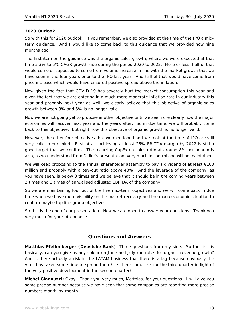## **2020 Outlook**

So with this for 2020 outlook. If you remember, we also provided at the time of the IPO a midterm guidance. And I would like to come back to this guidance that we provided now nine months ago.

The first item on the guidance was the organic sales growth, where we were expected at that time a 3% to 5% CAGR growth rate during the period 2020 to 2022. More or less, half of that would come or supposed to come from volume increase in line with the market growth that we have seen in the four years prior to the IPO last year. And half of that would have come from price increase which would have ensured positive spread above the inflation.

Now given the fact that COVID-19 has severely hurt the market consumption this year and given the fact that we are entering in a much more moderate inflation rate in our industry this year and probably next year as well, we clearly believe that this objective of organic sales growth between 3% and 5% is no longer valid.

Now we are not going yet to propose another objective until we see more clearly how the major economies will recover next year and the years after. So in due time, we will probably come back to this objective. But right now this objective of organic growth is no longer valid.

However, the other four objectives that we mentioned and we took at the time of IPO are still very valid in our mind. First of all, achieving at least 25% EBITDA margin by 2022 is still a good target that we confirm. The recurring CapEx on sales ratio at around 8% per annum is also, as you understood from Didier's presentation, very much in control and will be maintained.

We will keep proposing to the annual shareholder assembly to pay a dividend of at least  $\epsilon$ 100 million and probably with a pay-out ratio above 40%. And the leverage of the company, as you have seen, is below 3 times and we believe that it should be in the coming years between 2 times and 3 times of annualised adjusted EBITDA of the company.

So we are maintaining four out of the five mid-term objectives and we will come back in due time when we have more visibility on the market recovery and the macroeconomic situation to confirm maybe top line group objectives.

So this is the end of our presentation. Now we are open to answer your questions. Thank you very much for your attendance.

# **Questions and Answers**

**Matthias Pfeifenberger (Deustche Bank):** Three questions from my side. So the first is basically, can you give us any colour on June and July run rates for organic revenue growth? And is there actually a risk in the LATAM business that there is a lag because obviously the virus has taken some time to spread there? Is there some risk for the third quarter in light of the very positive development in the second quarter?

**Michel Giannuzzi:** Okay. Thank you very much, Matthias, for your questions. I will give you some precise number because we have seen that some companies are reporting more precise numbers month-by-month.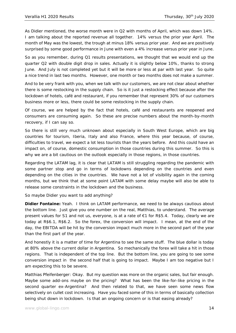As Didier mentioned, the worse month were in Q2 with months of April, which was down 14%. I am talking about the reported revenue all together. 14% versus the prior year April. The month of May was the lowest, the trough at minus 18% versus prior year. And we are positively surprised by some good performance in June with even a 4% increase versus prior year in June.

So as you remember, during Q1 results presentations, we thought that we would end up the quarter Q2 with double digit drop in sales. Actually it is slightly below 10%, thanks to strong June. And July is not completed yet but it will be more or less at par with last year. So quite a nice trend in last two months. However, one month or two months does not make a summer.

And to be very frank with you, when we talk with our customers, we are not clear about whether there is some restocking in the supply chain. So is it just a restocking effect because after the lockdown of hotels, café and restaurant, if you remember that represent 30% of our customers business more or less, there could be some restocking in the supply chain.

Of course, we are helped by the fact that hotels, café and restaurants are reopened and consumers are consuming again. So these are precise numbers about the month-by-month recovery, if I can say so.

So there is still very much unknown about especially in South West Europe, which are big countries for tourism, Iberia, Italy and also France, where this year because, of course, difficulties to travel, we expect a lot less tourists than the years before. And this could have an impact on, of course, domestic consumption in those countries during this summer. So this is why we are a bit cautious on the outlook especially in those regions, in those countries.

Regarding the LATAM lag, it is clear that LATAM is still struggling regarding the pandemic with some partner stop and go in terms of lockdowns depending on the countries and even depending on the cities in the countries. We have not a lot of visibility again in the coming months, but we think that at some point LATAM with some delay maybe will also be able to release some constraints in the lockdown and the business.

So maybe Didier you want to add anything?

**Didier Fontaine:** Yeah. I think on LATAM performance, we need to be always cautious about the bottom line. Just give you one number on the real, Matthias, to understand. The average present values for S1 and not us, everyone, is at a rate of €1 for R\$5.4. Today, clearly we are today at R\$6.1, R\$6.2. So the forex, the conversion will impact. I mean, at the end of the day, the EBITDA will be hit by the conversion impact much more in the second part of the year than the first part of the year.

And honestly it is a matter of time for Argentina to see the same stuff. The blue dollar is today at 80% above the current dollar in Argentina. So mechanically the forex will take a hit in those regions. That is independent of the top line. But the bottom line, you are going to see some conversion impact in the second half that is going to impact. Maybe I am too negative but I am expecting this to be severe.

Matthias Pfeifenberger: Okay. But my question was more on the organic sales, but fair enough. Maybe some add-ons maybe on the pricing? What has been the like-for-like pricing in the second quarter ex-Argentina? And then related to that, we have seen some news flow selectively on cullet cost increasing. Have you faced some of this in terms of basically collection being shut down in lockdown. Is that an ongoing concern or is that easing already?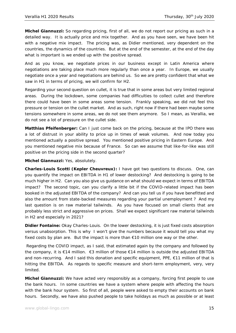**Michel Giannuzzi:** So regarding pricing, first of all, we do not report our pricing as such in a detailed way. It is actually price and mix together. And as you have seen, we have been hit with a negative mix impact. The pricing was, as Didier mentioned, very dependent on the countries, the dynamics of the countries. But at the end of the semester, at the end of the day what is important is we ended up with the positive spread.

And as you know, we negotiate prices in our business except in Latin America where negotiations are taking place much more regularly than once a year. In Europe, we usually negotiate once a year and negotiations are behind us. So we are pretty confident that what we saw in H1 in terms of pricing, we will confirm for H2.

Regarding your second question on cullet, it is true that in some areas but very limited regional areas. During the lockdown, some companies had difficulties to collect cullet and therefore there could have been in some areas some tension. Frankly speaking, we did not feel this pressure or tension on the cullet market. And as such, right now if there had been maybe some tensions somewhere in some areas, we do not see them anymore. So I mean, as Verallia, we do not see a lot of pressure on the cullet side.

**Matthias Pfeifenberger:** Can I just come back on the pricing, because at the IPO there was a lot of distrust in your ability to price up in times of weak volumes. And now today you mentioned actually a positive spread. You mentioned positive pricing in Eastern Europe. And you mentioned negative mix because of France. So can we assume that like-for-like was still positive on the pricing side in the second quarter?

**Michel Giannuzzi:** Yes, absolutely.

**Charles-Louis Scotti (Kepler Cheuvreux):** I have got two questions to discuss. One, can you quantify the impact on EBITDA in H1 of lower destocking? And destocking is going to be much higher in H2. Can you also give us guidance on what should we expect in terms of EBITDA impact? The second topic, can you clarify a little bit if the COVID-related impact has been booked in the adjusted EBITDA of the company? And can you tell us if you have benefitted and also the amount from state-backed measures regarding your partial unemployment ? And my last question is on raw material tailwinds. As you have focused on small clients that are probably less strict and aggressive on prices. Shall we expect significant raw material tailwinds in H2 and especially in 2021?

**Didier Fontaine:** Okay Charles-Louis. On the lower destocking, it is just fixed costs absorption versus unabsorption. This is why I won't give the numbers because it would tell you what my fixed costs by plan are. But the impact is more than  $E$ 10 million one way or the other.

 Regarding the COVID impact, as I said, that estimated again by the company and followed by the company, it is €14 million. €3 million of those €14 million is outside the adjusted EBITDA and non-recurring. And I said this donation and specific equipment, PPE, €11 million of that is hitting the EBITDA. As regards to specific measure and short-term employment, very, very limited.

**Michel Giannuzzi:** We have acted very responsibly as a company, forcing first people to use the bank hours. In some countries we have a system where people with affecting the hours with the bank hour system. So first of all, people were asked to empty their accounts on bank hours. Secondly, we have also pushed people to take holidays as much as possible or at least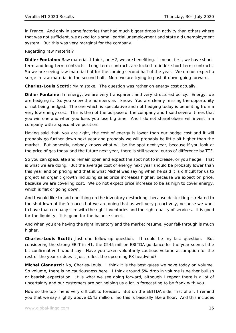in France. And only in some factories that had much bigger drops in activity than others where that was not sufficient, we asked for a small partial unemployment and state aid unemployment system. But this was very marginal for the company.

Regarding raw material?

**Didier Fontaine:** Raw material, I think, on H2, we are benefiting. I mean, first, we have shortterm and long-term contracts. Long-term contracts are locked to index short-term contracts. So we are seeing raw material flat for the coming second half of the year. We do not expect a surge in raw material in the second half. More we are trying to push it down going forward.

**Charles-Louis Scotti:** My mistake. The question was rather on energy cost actually.

**Didier Fontaine:** In energy, we are very transparent and very structured policy. Energy, we are hedging it. So you know the numbers as I know. You are clearly missing the opportunity of not being hedged. The one which is speculative and not hedging today is benefiting from a very low energy cost. This is the not the purpose of the company and I said several times that you win one and when you lose, you lose big time. And I do not shareholders will invest in a company with a speculative position.

Having said that, you are right, the cost of energy is lower than our hedge cost and it will probably go further down next year and probably we will probably be little bit higher than the market. But honestly, nobody knows what will be the spot next year, because if you look at the price of gas today and the future next year, there is still several euros of difference by TTF.

So you can speculate and remain open and expect the spot not to increase, or you hedge. That is what we are doing. But the average cost of energy next year should be probably lower than this year and on pricing and that is what Michel was saying when he said it is difficult for us to project an organic growth including sales price increases higher, because we expect on price, because we are covering cost. We do not expect price increase to be as high to cover energy, which is flat or going down.

And I would like to add one thing on the inventory destocking, because destocking is related to the shutdown of the furnaces but we are doing that as well very proactively, because we want to have that company slim with the right inventories and the right quality of services. It is good for the liquidity. It is good for the balance sheet.

And when you are having the right inventory and the market resume, your fall-through is much higher.

**Charles-Louis Scotti:** Just one follow-up question. It could be my last question. But considering the strong EBIT in H1, the €545 million EBITDA guidance for the year seems little bit confirmative I would say. Have you taken voluntarily cautious volume assumption for the rest of the year or does it just reflect the upcoming FX headwind?

**Michel Giannuzzi:** No, Charles-Louis. I think it is the best guess we have today on volume. So volume, there is no cautiousness here. I think around 5% drop in volume is neither bullish or bearish expectation. It is what we see going forward, although I repeat there is a lot of uncertainty and our customers are not helping us a lot in forecasting to be frank with you.

Now so the top line is very difficult to forecast. But on the EBITDA side, first of all, I remind you that we say slightly above €543 million. So this is basically like a floor. And this includes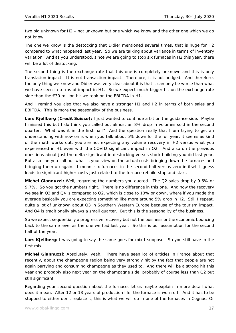two big unknown for H2 – not unknown but one which we know and the other one which we do not know.

The one we know is the destocking that Didier mentioned several times, that is huge for H2 compared to what happened last year. So we are talking about variance in terms of inventory variation. And as you understood, since we are going to stop six furnaces in H2 this year, there will be a lot of destocking.

The second thing is the exchange rate that this one is completely unknown and this is only translation impact. It is not transaction impact. Therefore, it is not hedged. And therefore, the only thing we know and Didier was very clear about it is that it can only be worse than what we have seen in terms of impact in H1. So we expect much bigger hit on the exchange rate side than the €30 million hit we took on the EBITDA in H1.

And I remind you also that we also have a stronger H1 and H2 in terms of both sales and EBITDA. This is more the seasonality of the business.

**Lars Kjellberg (Credit Suisse):** I just wanted to continue a bit on the guidance side. Maybe I missed this but I do think you called out almost an 8% drop in volumes sold in the second quarter. What was it in the first half? And the question really that I am trying to get an understanding with now on is when you talk about 5% down for the full year, it seems as kind of the math works out, you are not expecting any volume recovery in H2 versus what you experienced in H1 even with the COVID significant impact in Q2. And also on the previous questions about just the delta significant in destocking versus stock building you did last year. But also can you call out what is your view on the actual costs bringing down the furnaces and bringing them up again. I mean, six furnaces in the second half versus zero in itself I guess leads to significant higher costs just related to the furnace rebuild stop and start.

**Michel Giannuzzi:** Well, regarding the numbers you quoted. The Q2 sales drop by 9.6% or 9.7%. So you got the numbers right. There is no difference in this one. And now the recovery we see in Q3 and Q4 is compared to Q2, which is close to 10% or down, where if you made the average basically you are expecting something like more around 5% drop in H2. Still I repeat, quite a lot of unknown about Q3 in Southern Western Europe because of the tourism impact. And Q4 is traditionally always a small quarter. But this is the seasonality of the business.

So we expect sequentially a progressive recovery but not the business or the economic bouncing back to the same level as the one we had last year. So this is our assumption for the second half of the year.

**Lars Kjellberg:** I was going to say the same goes for mix I suppose. So you still have in the first mix.

**Michel Giannuzzi:** Absolutely, yeah. There have seen lot of articles in France about that recently, about the champagne region being very strongly hit by the fact that people are not again partying and consuming champagne as they used to. And there will be a strong hit this year and probably also next year on the champagne side, probably of course less than Q2 but still significant.

Regarding your second question about the furnace, let us maybe explain in more detail what does it mean. After 12 or 13 years of production life, the furnace is worn off. And it has to be stopped to either don't replace it, this is what we will do in one of the furnaces in Cognac. Or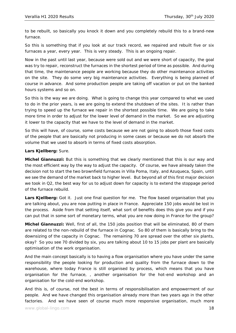to be rebuilt, so basically you knock it down and you completely rebuild this to a brand-new furnace.

So this is something that if you look at our track record, we repaired and rebuilt five or six furnaces a year, every year. This is very steady. This is an ongoing repair.

Now in the past until last year, because were sold out and we were short of capacity, the goal was try to repair, reconstruct the furnaces in the shortest period of time as possible. And during that time, the maintenance people are working because they do other maintenance activities on the site. They do some very big maintenance activities. Everything is being planned of course in advance. And some production people are taking off vacation or put on the banked hours systems and so on.

So this is the way we are doing. What is going to change this year compared to what we used to do in the prior years, is we are going to extend the shutdown of the sites. It is rather than trying to speed up the furnace we repair in the shortest possible time. We are going to take more time in order to adjust for the lower level of demand in the market. So we are adjusting it lower to the capacity that we have to the level of demand in the market.

So this will have, of course, some costs because we are not going to absorb those fixed costs of the people that are basically not producing in some cases or because we do not absorb the volume that we used to absorb in terms of fixed costs absorption.

#### **Lars Kjellberg:** Sure.

**Michel Giannuzzi:** But this is something that we clearly mentioned that this is our way and the most efficient way by the way to adjust the capacity. Of course, we have already taken the decision not to start the two brownfield furnaces in Villa Poma, Italy, and Azuqueca, Spain, until we see the demand of the market back to higher level. But beyond all of this first major decision we took in Q2, the best way for us to adjust down for capacity is to extend the stoppage period of the furnace rebuild.

Lars Kjellberg: Got it. Just one final question for me. The flow based organisation that you are talking about, you are now putting in place in France. Appreciate 150 jobs would be lost in the process. Aside from that setting itself, what sort of benefits does this give you and if you can put that in some sort of monetary terms, what you are now doing in France for the group?

**Michel Giannuzzi:** Well, first of all, the 150 jobs position that will be eliminated, 80 of them are related to the non-rebuild of the furnace in Cognac. So 80 of them is basically bring to the downsizing of the capacity in Cognac. The remaining 70 are spread over the other six plants, okay? So you see 70 divided by six, you are talking about 10 to 15 jobs per plant are basically optimisation of the work organisation.

And the main concept basically is to having a flow organisation where you have under the same responsibility the people looking for production and quality from the furnace down to the warehouse, where today France is still organised by process, which means that you have organisation for the furnace, , another organisation for the hot-end workshop and an organisation for the cold-end workshop.

And this is, of course, not the best in terms of responsibilisation and empowerment of our people. And we have changed this organisation already more than two years ago in the other factories. And we have seen of course much more responsive organisation, much more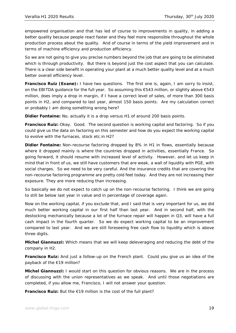empowered organisation and that has led of course to improvements in quality, in adding a better quality because people react faster and they feel more responsible throughout the whole production process about the quality. And of course in terms of the yield improvement and in terms of machine efficiency and production efficiency.

So we are not going to give you precise numbers beyond the job that are going to be eliminated which is through productivity. But there is beyond just the cost aspect that you can calculate. There is a clear side benefit in operating your plant at a much better quality level and at a much better overall efficiency level.

**Francisco Ruiz (Exane):** I have two questions. The first one is, again, I am sorry to insist, on the EBITDA guidance for the full year. So assuming this €543 million, or slightly above €543 million, does imply a drop in margin, if I have a correct level of sales, of more than 300 basis points in H2, and compared to last year, almost 150 basis points. Are my calculation correct or probably I am doing something wrong here?

**Didier Fontaine:** No, actually it is a drop versus H1 of around 200 basis points.

**Francisco Ruiz:** Okay. Good. The second question is working capital and factoring. So if you could give us the data on factoring on this semester and how do you expect the working capital to evolve with the furnaces, stock etc.in H2?

**Didier Fontaine:** Non-recourse factoring dropped by 8% in H1 in flows, essentially because where it dropped mainly is where the countries dropped in activities, essentially France. So going forward, it should resume with increased level of activity. However, and let us keep in mind that in front of us, we still have customers that are weak, a wall of liquidity with PGE, with social charges. So we need to be very careful. And the insurance credits that are covering the non-recourse factoring programme are pretty cold feet today. And they are not increasing their exposure. They are more reducing than increasing.

So basically we do not expect to catch up on the non-recourse factoring. I think we are going to still be below last year in value and in percentage of coverage again.

Now on the working capital, if you exclude that, and I said that is very important for us, we did much better working capital in our first half than last year. And in second half, with the destocking mechanically because a lot of the furnace repair will happen in Q3, will have a full cash impact in the fourth quarter. So we do expect working capital to be an improvement compared to last year. And we are still foreseeing free cash flow to liquidity which is above three digits.

**Michel Giannuzzi:** Which means that we will keep deleveraging and reducing the debt of the company in H2.

**Francisco Ruiz:** And just a follow-up on the French plant. Could you give us an idea of the payback of the €19 million?

**Michel Giannuzzi:** I would start on this question for obvious reasons. We are in the process of discussing with the union representatives as we speak. And until those negotiations are completed, if you allow me, Francisco, I will not answer your question.

**Francisco Ruiz:** But the €19 million is the cost of the full plant?